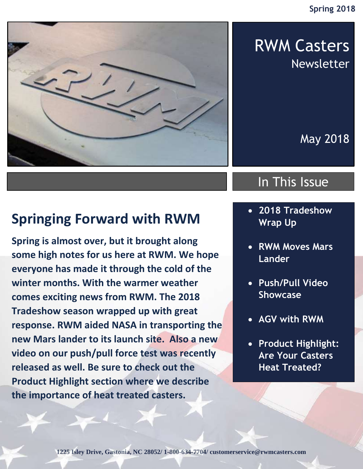

## RWM Casters Newsletter

May 2018

### In This Issue

- **2018 Tradeshow Wrap Up**
	- **RWM Moves Mars Lander**
	- **Push/Pull Video Showcase**
	- **AGV with RWM**
	- **Product Highlight: Are Your Casters Heat Treated?**

### **Springing Forward with RWM**

**Spring is almost over, but it brought along some high notes for us here at RWM. We hope everyone has made it through the cold of the winter months. With the warmer weather comes exciting news from RWM. The 2018 Tradeshow season wrapped up with great response. RWM aided NASA in transporting the new Mars lander to its launch site. Also a new video on our push/pull force test was recently released as well. Be sure to check out the Product Highlight section where we describe the importance of heat treated casters.**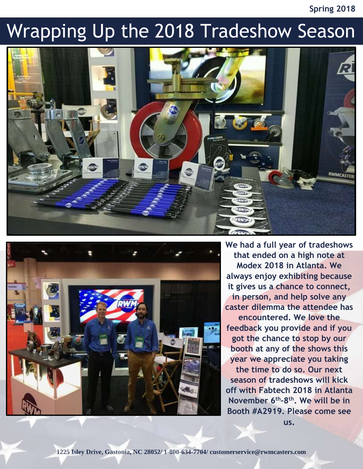#### **Spring 2018**

# Wrapping Up the 2018 Tradeshow Season





**We had a full year of tradeshows that ended on a high note at Modex 2018 in Atlanta. We always enjoy exhibiting because it gives us a chance to connect, in person, and help solve any caster dilemma the attendee has encountered. We love the feedback you provide and if you got the chance to stop by our booth at any of the shows this year we appreciate you taking the time to do so. Our next season of tradeshows will kick off with Fabtech 2018 in Atlanta November 6th -8 th. We will be in Booth #A2919. Please come see** 

**us.**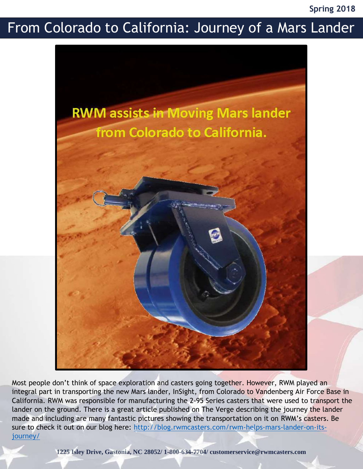**Spring 2018**

### From Colorado to California: Journey of a Mars Lander



Most people don't think of space exploration and casters going together. However, RWM played an integral part in transporting the new Mars lander, InSight, from Colorado to Vandenberg Air Force Base in California. RWM was responsible for manufacturing the 2-95 Series casters that were used to transport the lander on the ground. There is a great article published on The Verge describing the journey the lander made and including are many fantastic pictures showing the transportation on it on RWM's casters. Be sure to check it out on our blog here: [http://blog.rwmcasters.com/rwm-helps-mars-lander-on-its](http://blog.rwmcasters.com/rwm-helps-mars-lander-on-its-journey/)[journey/](http://blog.rwmcasters.com/rwm-helps-mars-lander-on-its-journey/)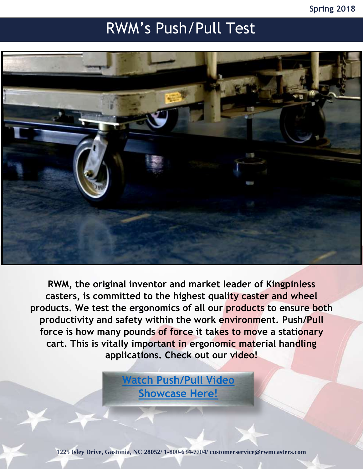#### **Spring 2018**

### RWM's Push/Pull Test



**RWM, the original inventor and market leader of Kingpinless casters, is committed to the highest quality caster and wheel products. We test the ergonomics of all our products to ensure both productivity and safety within the work environment. Push/Pull force is how many pounds of force it takes to move a stationary cart. This is vitally important in ergonomic material handling applications. Check out our video!**

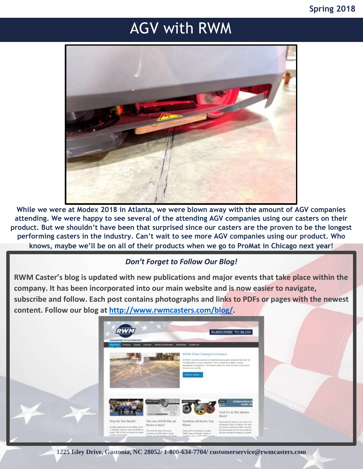## AGV with RWM



**While we were at Modex 2018 in Atlanta, we were blown away with the amount of AGV companies attending. We were happy to see several of the attending AGV companies using our casters on their product. But we shouldn't have been that surprised since our casters are the proven to be the longest performing casters in the industry. Can't wait to see more AGV companies using our product. Who knows, maybe we'll be on all of their products when we go to ProMat in Chicago next year!**

#### *Don't Forget to Follow Our Blog!*

**RWM Caster's blog is updated with new publications and major events that take place within the company. It has been incorporated into our main website and is now easier to navigate, subscribe and follow. Each post contains photographs and links to PDFs or pages with the newest content. Follow our blog at [http://www.rwmcasters.com/blog/.](http://www.rwmcasters.com/blog/)**